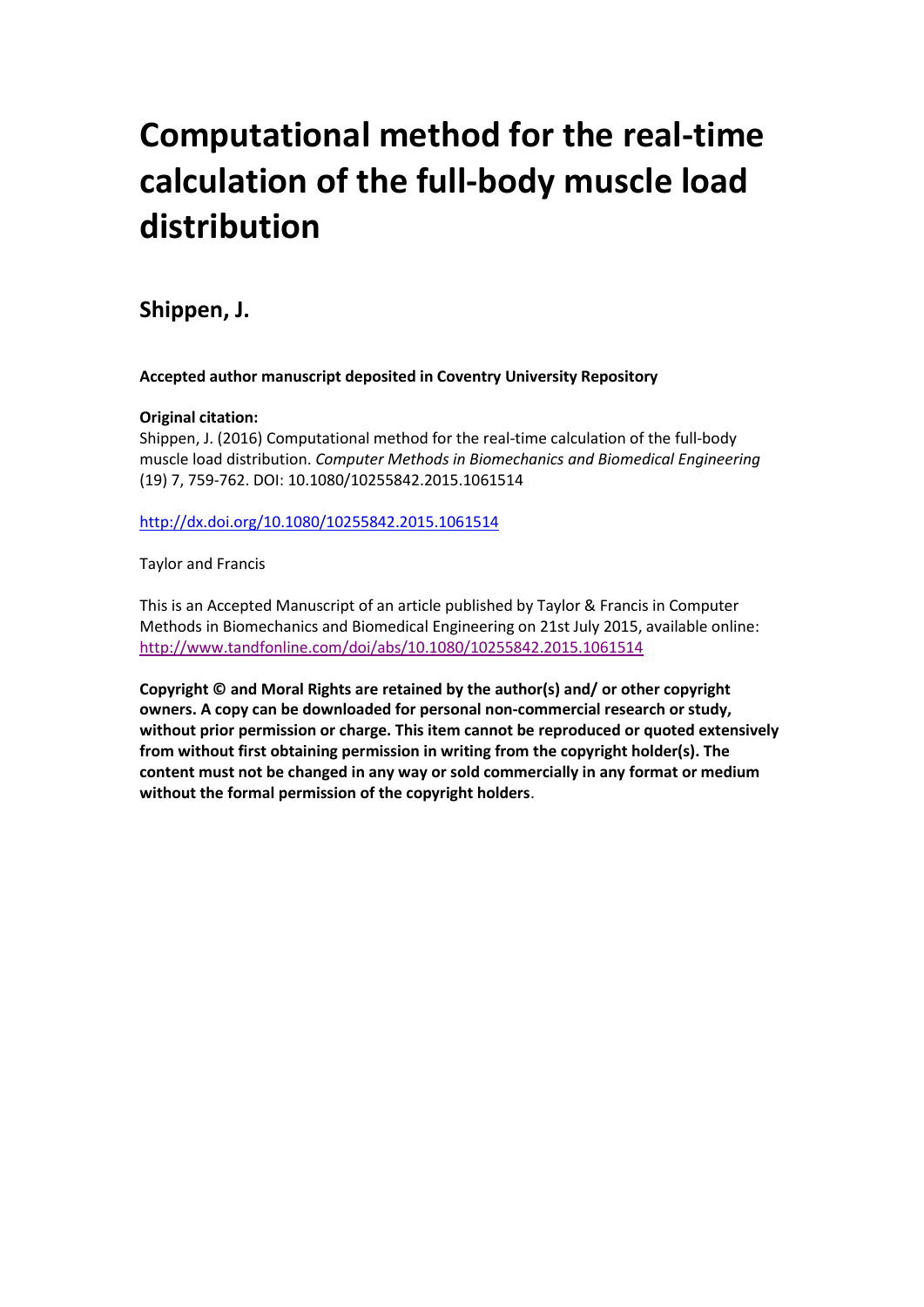# **Computational method for the real-time calculation of the full-body muscle load distribution**

# **Shippen, J.**

**Accepted author manuscript deposited in Coventry University Repository**

## **Original citation:**

Shippen, J. (2016) Computational method for the real-time calculation of the full-body muscle load distribution. *Computer Methods in Biomechanics and Biomedical Engineering* (19) 7, 759-762. DOI: 10.1080/10255842.2015.1061514

<http://dx.doi.org/10.1080/10255842.2015.1061514>

Taylor and Francis

This is an Accepted Manuscript of an article published by Taylor & Francis in Computer Methods in Biomechanics and Biomedical Engineering on 21st July 2015, available online: <http://www.tandfonline.com/doi/abs/10.1080/10255842.2015.1061514>

**Copyright © and Moral Rights are retained by the author(s) and/ or other copyright owners. A copy can be downloaded for personal non-commercial research or study, without prior permission or charge. This item cannot be reproduced or quoted extensively from without first obtaining permission in writing from the copyright holder(s). The content must not be changed in any way or sold commercially in any format or medium without the formal permission of the copyright holders**.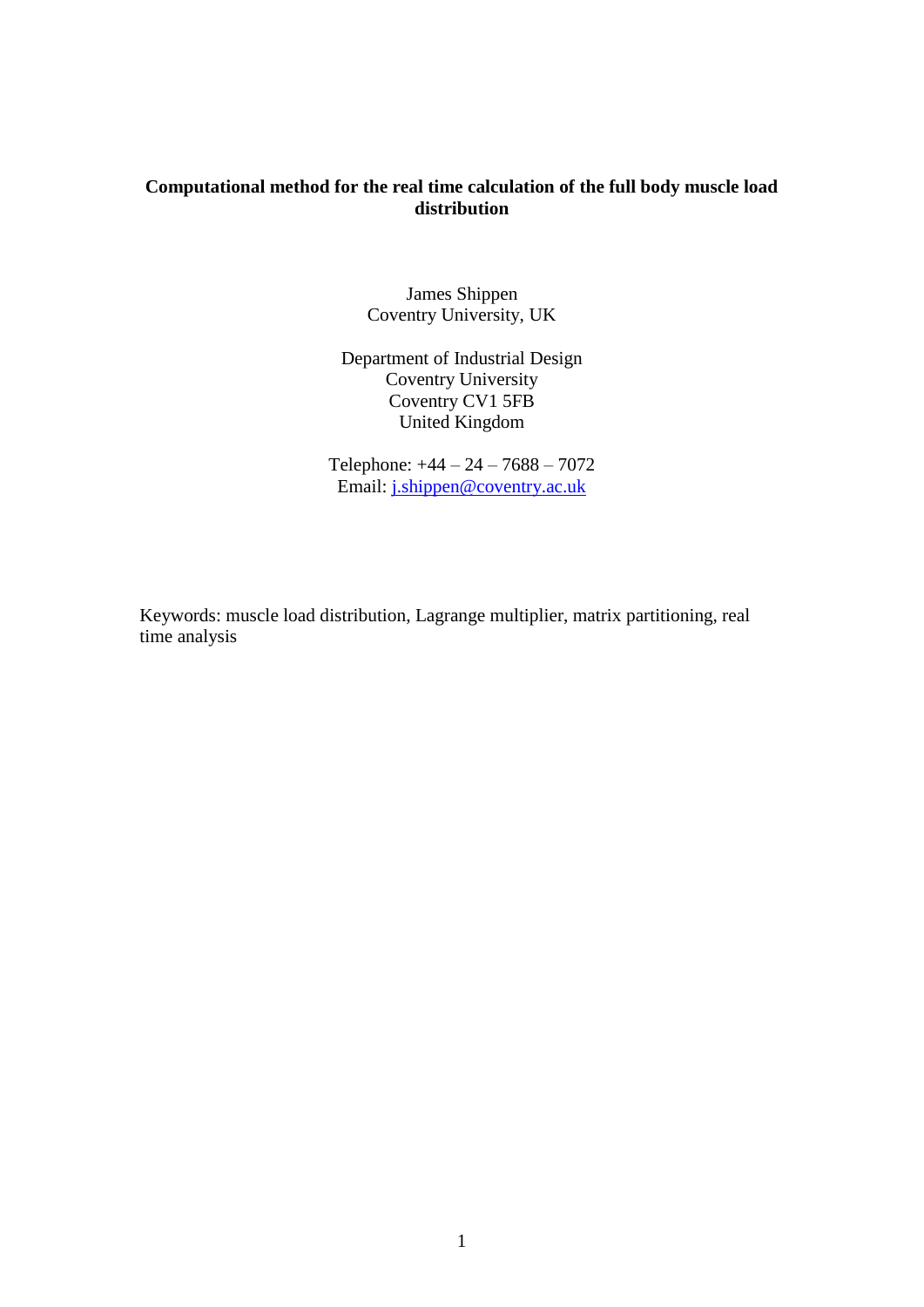# **Computational method for the real time calculation of the full body muscle load distribution**

James Shippen Coventry University, UK

Department of Industrial Design Coventry University Coventry CV1 5FB United Kingdom

Telephone: +44 – 24 – 7688 – 7072 Email: [j.shippen@coventry.ac.uk](mailto:j.shippen@coventry.ac.uk)

Keywords: muscle load distribution, Lagrange multiplier, matrix partitioning, real time analysis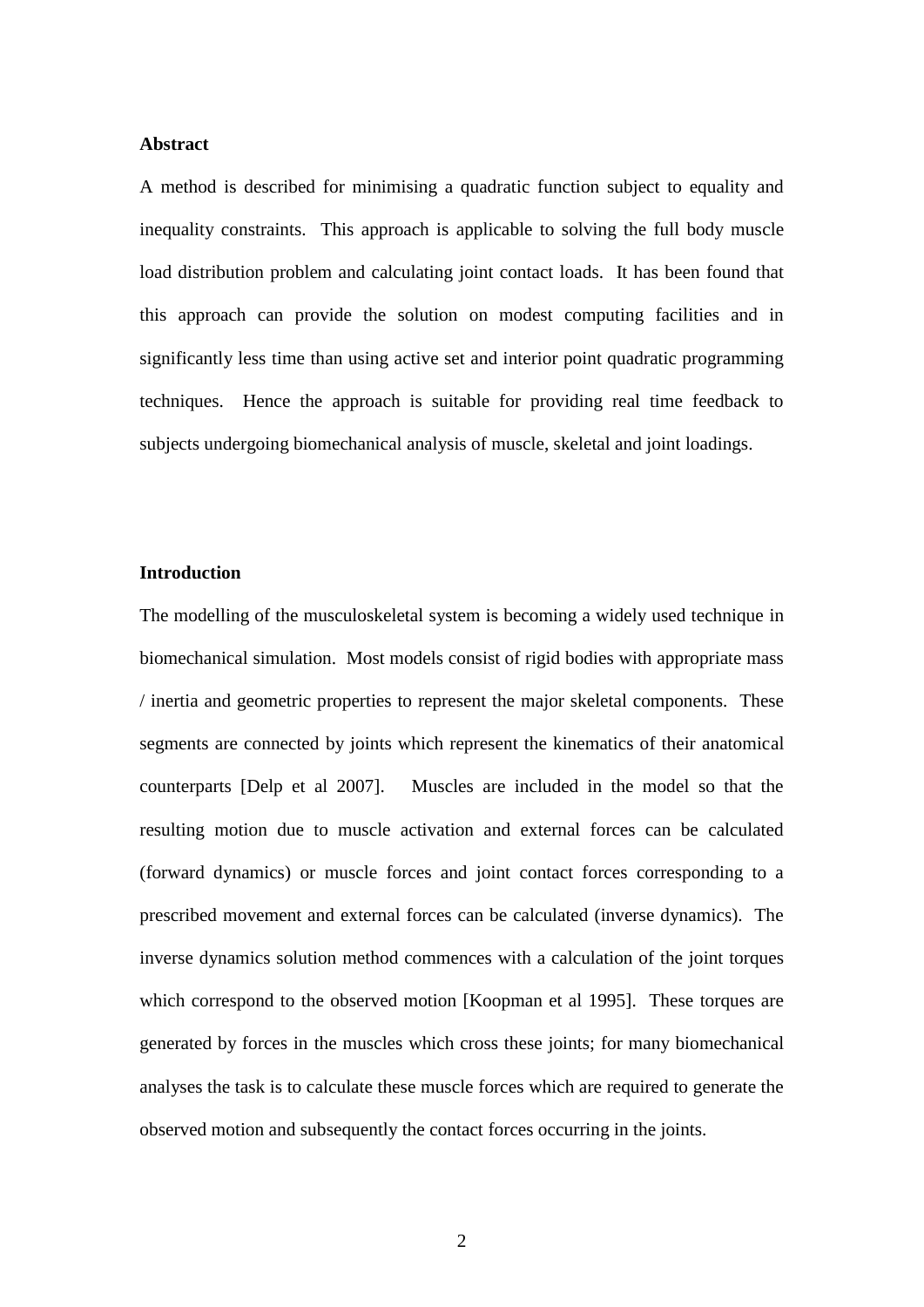#### **Abstract**

A method is described for minimising a quadratic function subject to equality and inequality constraints. This approach is applicable to solving the full body muscle load distribution problem and calculating joint contact loads. It has been found that this approach can provide the solution on modest computing facilities and in significantly less time than using active set and interior point quadratic programming techniques. Hence the approach is suitable for providing real time feedback to subjects undergoing biomechanical analysis of muscle, skeletal and joint loadings.

## **Introduction**

The modelling of the musculoskeletal system is becoming a widely used technique in biomechanical simulation. Most models consist of rigid bodies with appropriate mass / inertia and geometric properties to represent the major skeletal components. These segments are connected by joints which represent the kinematics of their anatomical counterparts [Delp et al 2007]. Muscles are included in the model so that the resulting motion due to muscle activation and external forces can be calculated (forward dynamics) or muscle forces and joint contact forces corresponding to a prescribed movement and external forces can be calculated (inverse dynamics). The inverse dynamics solution method commences with a calculation of the joint torques which correspond to the observed motion [Koopman et al 1995]. These torques are generated by forces in the muscles which cross these joints; for many biomechanical analyses the task is to calculate these muscle forces which are required to generate the observed motion and subsequently the contact forces occurring in the joints.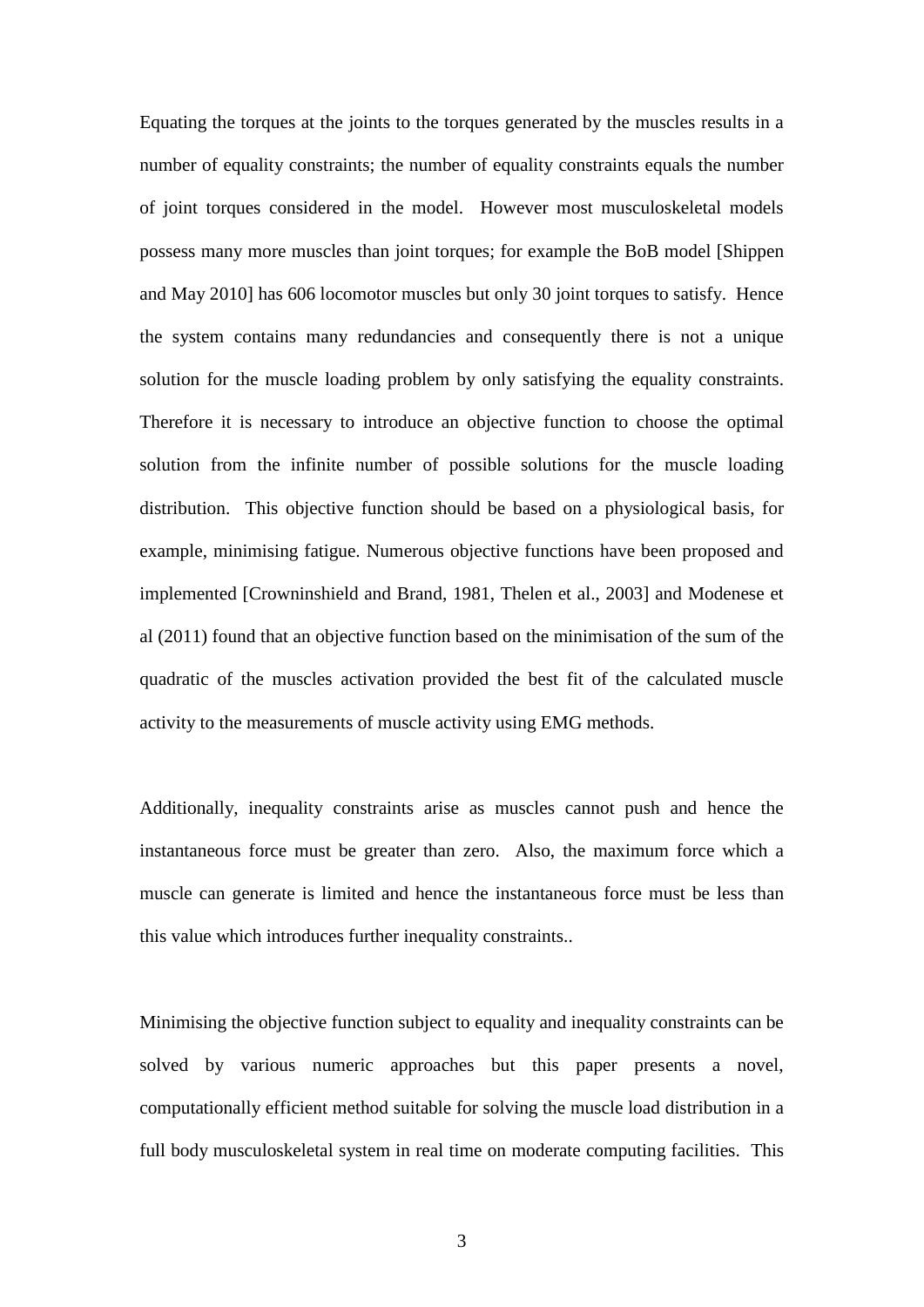Equating the torques at the joints to the torques generated by the muscles results in a number of equality constraints; the number of equality constraints equals the number of joint torques considered in the model. However most musculoskeletal models possess many more muscles than joint torques; for example the BoB model [Shippen and May 2010] has 606 locomotor muscles but only 30 joint torques to satisfy. Hence the system contains many redundancies and consequently there is not a unique solution for the muscle loading problem by only satisfying the equality constraints. Therefore it is necessary to introduce an objective function to choose the optimal solution from the infinite number of possible solutions for the muscle loading distribution. This objective function should be based on a physiological basis, for example, minimising fatigue. Numerous objective functions have been proposed and implemented [Crowninshield and Brand, 1981, Thelen et al., 2003] and Modenese et al (2011) found that an objective function based on the minimisation of the sum of the quadratic of the muscles activation provided the best fit of the calculated muscle activity to the measurements of muscle activity using EMG methods.

Additionally, inequality constraints arise as muscles cannot push and hence the instantaneous force must be greater than zero. Also, the maximum force which a muscle can generate is limited and hence the instantaneous force must be less than this value which introduces further inequality constraints..

Minimising the objective function subject to equality and inequality constraints can be solved by various numeric approaches but this paper presents a novel, computationally efficient method suitable for solving the muscle load distribution in a full body musculoskeletal system in real time on moderate computing facilities. This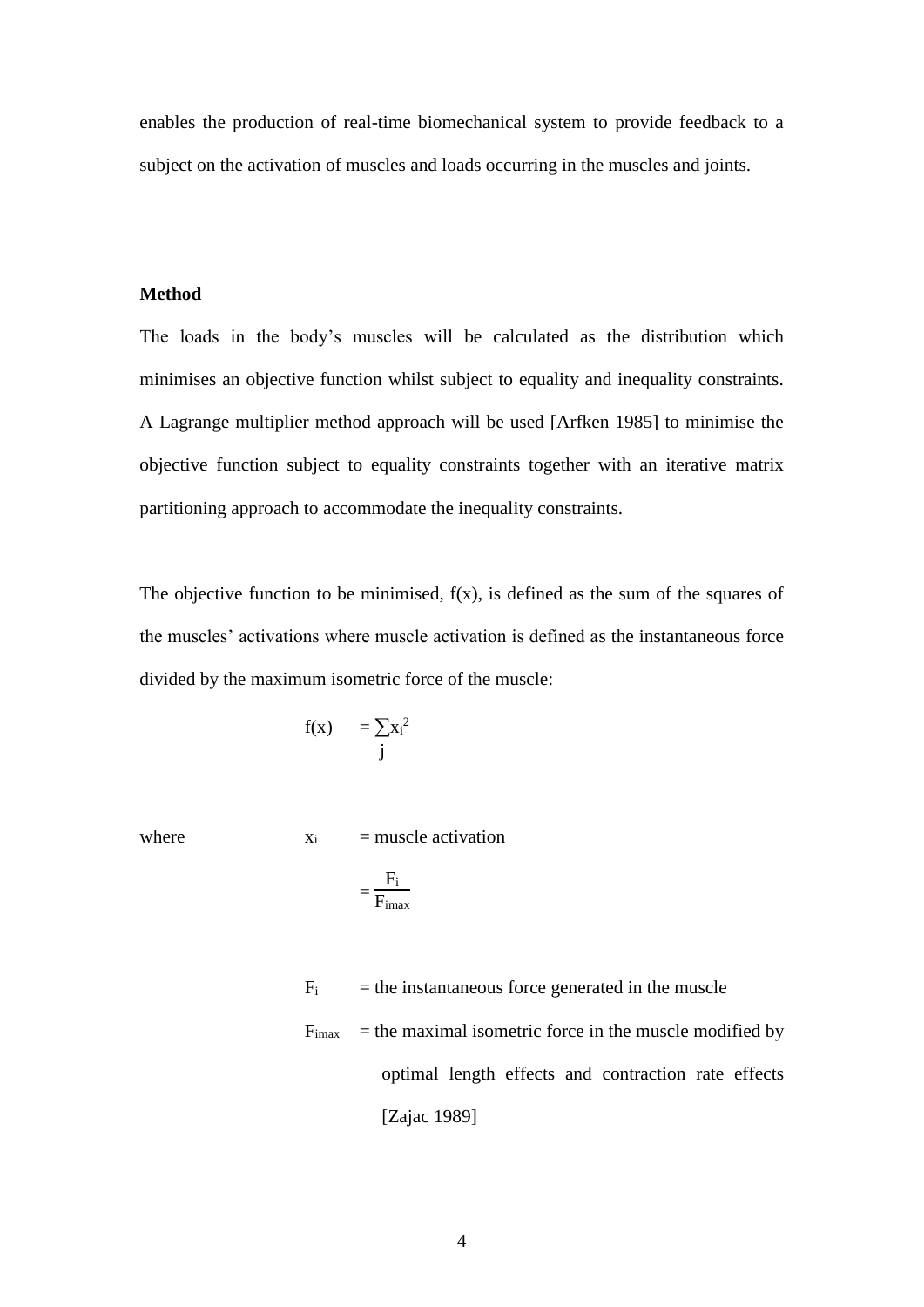enables the production of real-time biomechanical system to provide feedback to a subject on the activation of muscles and loads occurring in the muscles and joints.

### **Method**

The loads in the body's muscles will be calculated as the distribution which minimises an objective function whilst subject to equality and inequality constraints. A Lagrange multiplier method approach will be used [Arfken 1985] to minimise the objective function subject to equality constraints together with an iterative matrix partitioning approach to accommodate the inequality constraints.

The objective function to be minimised,  $f(x)$ , is defined as the sum of the squares of the muscles' activations where muscle activation is defined as the instantaneous force divided by the maximum isometric force of the muscle:

$$
f(x) = \sum_j x_i^2
$$
  
j

where  $x_i$  = muscle activation

$$
= \frac{F_i}{F_{i\text{max}}}
$$

 $F_i$  = the instantaneous force generated in the muscle  $F<sub>imax</sub>$  = the maximal isometric force in the muscle modified by optimal length effects and contraction rate effects [Zajac 1989]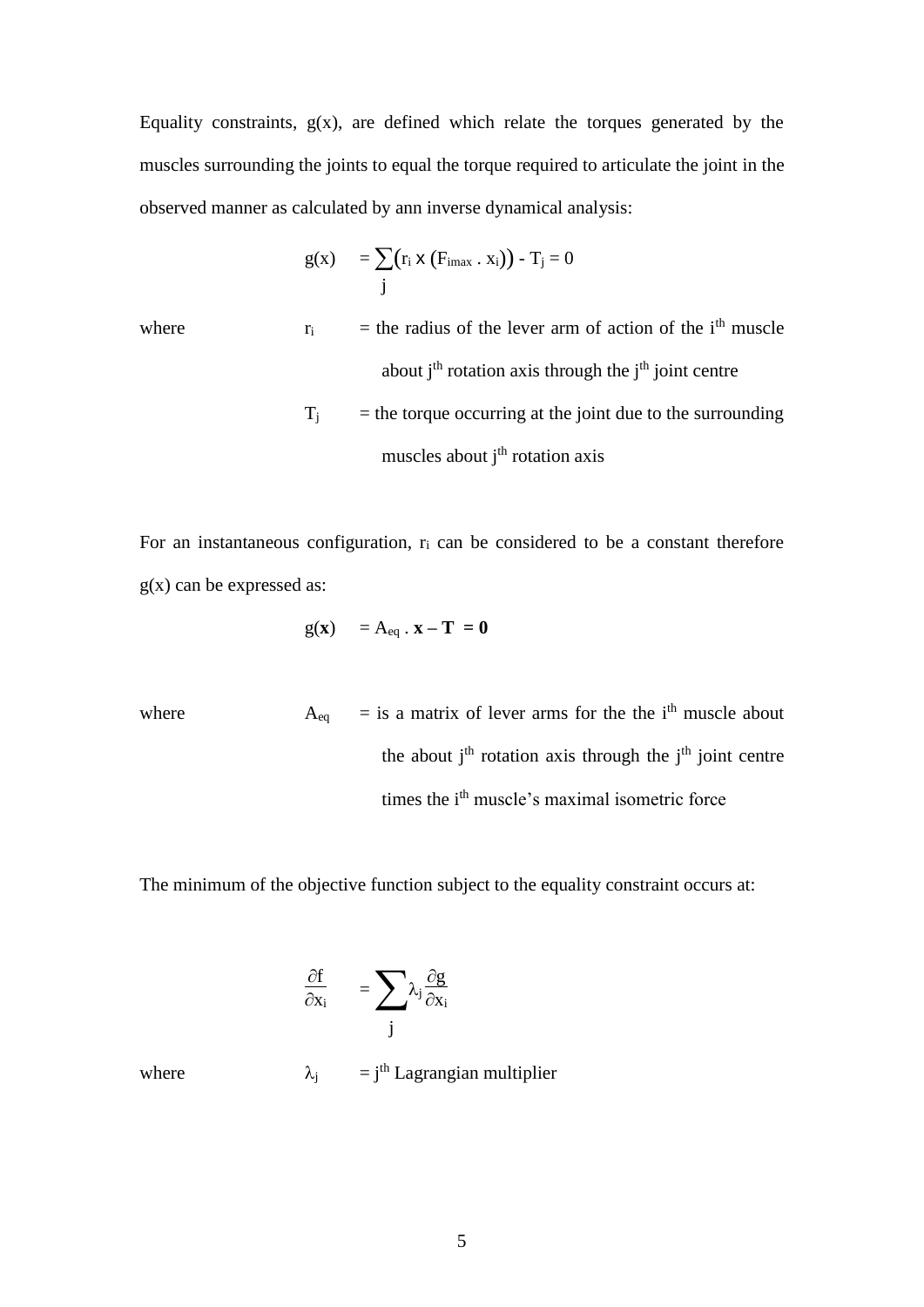Equality constraints,  $g(x)$ , are defined which relate the torques generated by the muscles surrounding the joints to equal the torque required to articulate the joint in the observed manner as calculated by ann inverse dynamical analysis:

$$
g(x) = \sum_{j} (r_i \times (F_{imax} \cdot x_i)) - T_j = 0
$$

where  $r_i$  = the radius of the lever arm of action of the i<sup>th</sup> muscle about  $j<sup>th</sup>$  rotation axis through the  $j<sup>th</sup>$  joint centre  $T_i$  = the torque occurring at the joint due to the surrounding muscles about  $i<sup>th</sup>$  rotation axis

For an instantaneous configuration,  $r_i$  can be considered to be a constant therefore  $g(x)$  can be expressed as:

$$
g(\mathbf{x}) = A_{eq} \cdot \mathbf{x} - \mathbf{T} = \mathbf{0}
$$

where  $A_{eq}$  = is a matrix of lever arms for the the i<sup>th</sup> muscle about the about  $i<sup>th</sup>$  rotation axis through the  $i<sup>th</sup>$  joint centre times the i<sup>th</sup> muscle's maximal isometric force

The minimum of the objective function subject to the equality constraint occurs at:

$$
\frac{\partial f}{\partial x_i} = \sum_j \lambda_j \frac{\partial g}{\partial x_i}
$$

where  $\lambda_j = j^{\text{th}}$  Lagrangian multiplier

5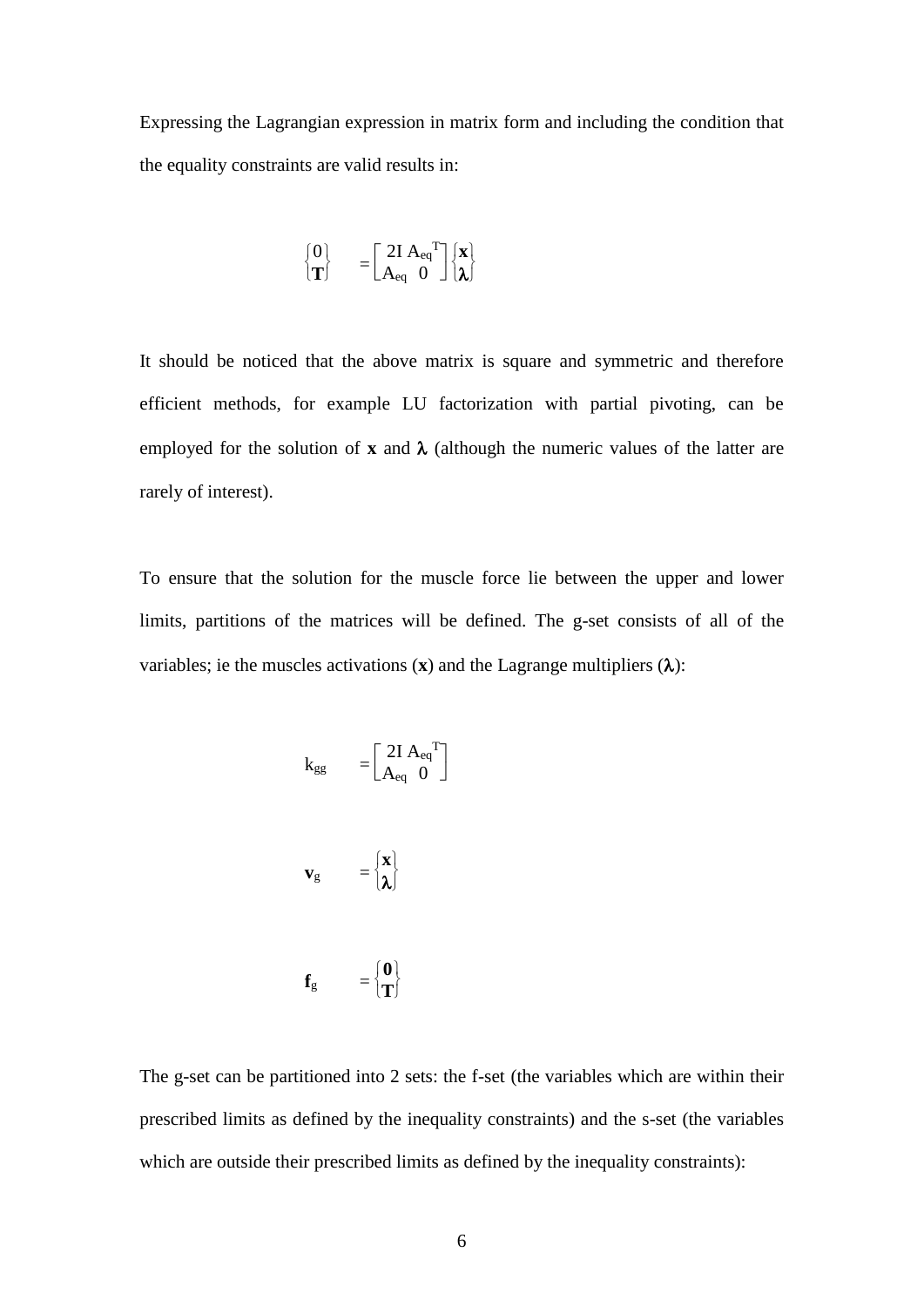Expressing the Lagrangian expression in matrix form and including the condition that the equality constraints are valid results in:

$$
\begin{bmatrix} 0 \\ T \end{bmatrix} \quad = \begin{bmatrix} 2I \, A_{eq}{}^T \\ A_{eq} \, 0 \end{bmatrix} \begin{bmatrix} x \\ \lambda \end{bmatrix}
$$

It should be noticed that the above matrix is square and symmetric and therefore efficient methods, for example LU factorization with partial pivoting, can be employed for the solution of **x** and  $\lambda$  (although the numeric values of the latter are rarely of interest).

To ensure that the solution for the muscle force lie between the upper and lower limits, partitions of the matrices will be defined. The g-set consists of all of the variables; ie the muscles activations  $(\mathbf{x})$  and the Lagrange multipliers  $(\lambda)$ :

$$
k_{gg} = \begin{bmatrix} 2I A_{eq}^{T} \\ A_{eq} & 0 \end{bmatrix}
$$

$$
\mathbf{v}_{\rm g} \qquad = \begin{cases} \mathbf{x} \\ \mathbf{\lambda} \end{cases}
$$

$$
\mathbf{f}_{g} = \begin{cases} \mathbf{0} \\ \mathbf{T} \end{cases}
$$

The g-set can be partitioned into 2 sets: the f-set (the variables which are within their prescribed limits as defined by the inequality constraints) and the s-set (the variables which are outside their prescribed limits as defined by the inequality constraints):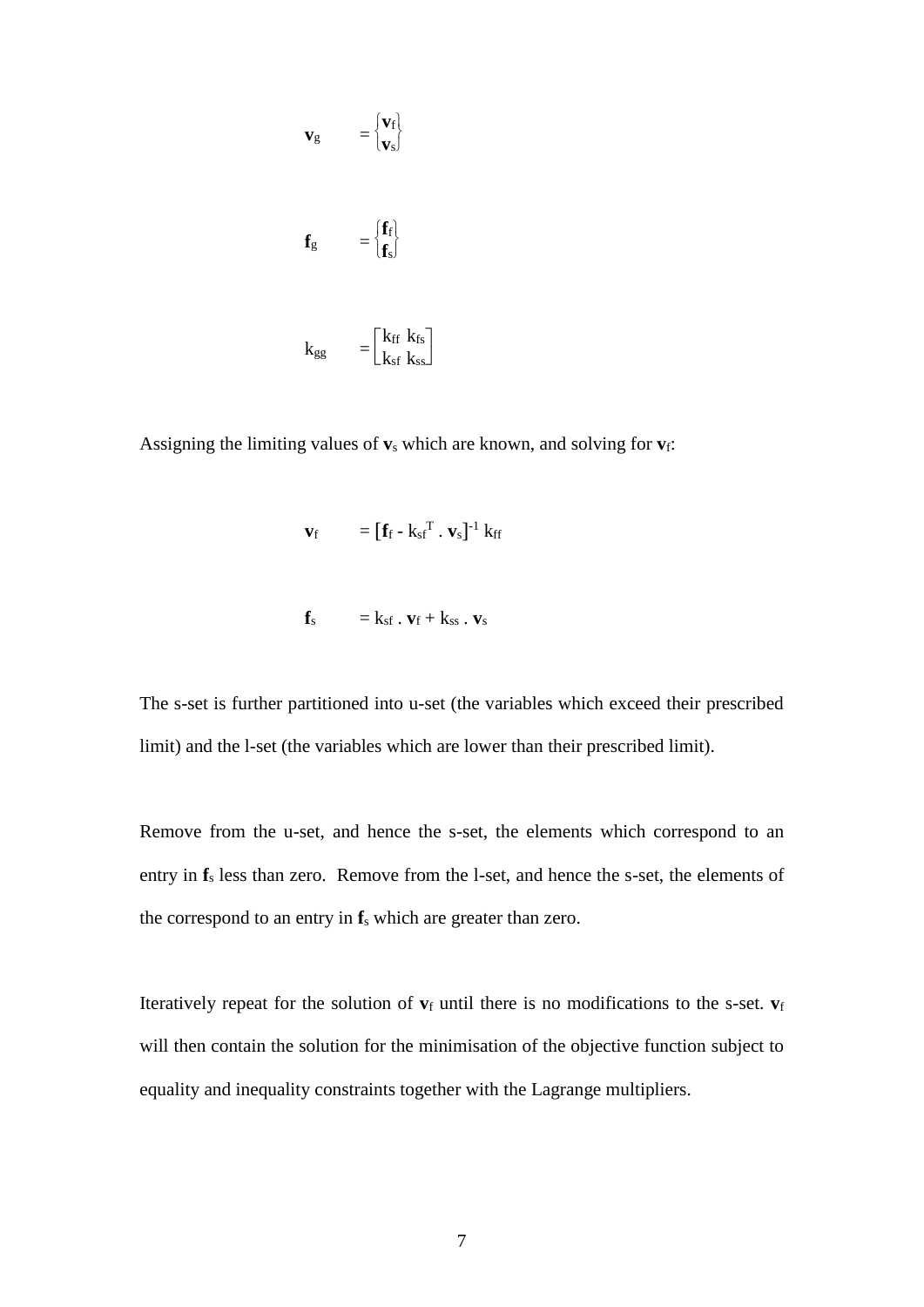$$
\mathbf{v}_{g} = \begin{bmatrix} \mathbf{v}_{f} \\ \mathbf{v}_{s} \end{bmatrix}
$$

$$
\mathbf{f}_{g} = \begin{bmatrix} \mathbf{f}_{f} \\ \mathbf{f}_{s} \end{bmatrix}
$$

$$
k_{gg} = \begin{bmatrix} k_{ff} & k_{fs} \\ k_{sf} & k_{ss} \end{bmatrix}
$$

Assigning the limiting values of **v**<sup>s</sup> which are known, and solving for **v**f:

 $\overline{\phantom{a}}$ 

$$
\mathbf{v}_{\rm f} = [\mathbf{f}_{\rm f} - k_{\rm sf}^{\ \rm T} \cdot \mathbf{v}_{\rm s}]^{-1} \mathbf{k}_{\rm ff}
$$

$$
\mathbf{f}_s = k_{sf} \cdot \mathbf{v}_f + k_{ss} \cdot \mathbf{v}_s
$$

The s-set is further partitioned into u-set (the variables which exceed their prescribed limit) and the l-set (the variables which are lower than their prescribed limit).

Remove from the u-set, and hence the s-set, the elements which correspond to an entry in **f**<sup>s</sup> less than zero. Remove from the l-set, and hence the s-set, the elements of the correspond to an entry in **f**<sup>s</sup> which are greater than zero.

Iteratively repeat for the solution of  $v_f$  until there is no modifications to the s-set.  $v_f$ will then contain the solution for the minimisation of the objective function subject to equality and inequality constraints together with the Lagrange multipliers.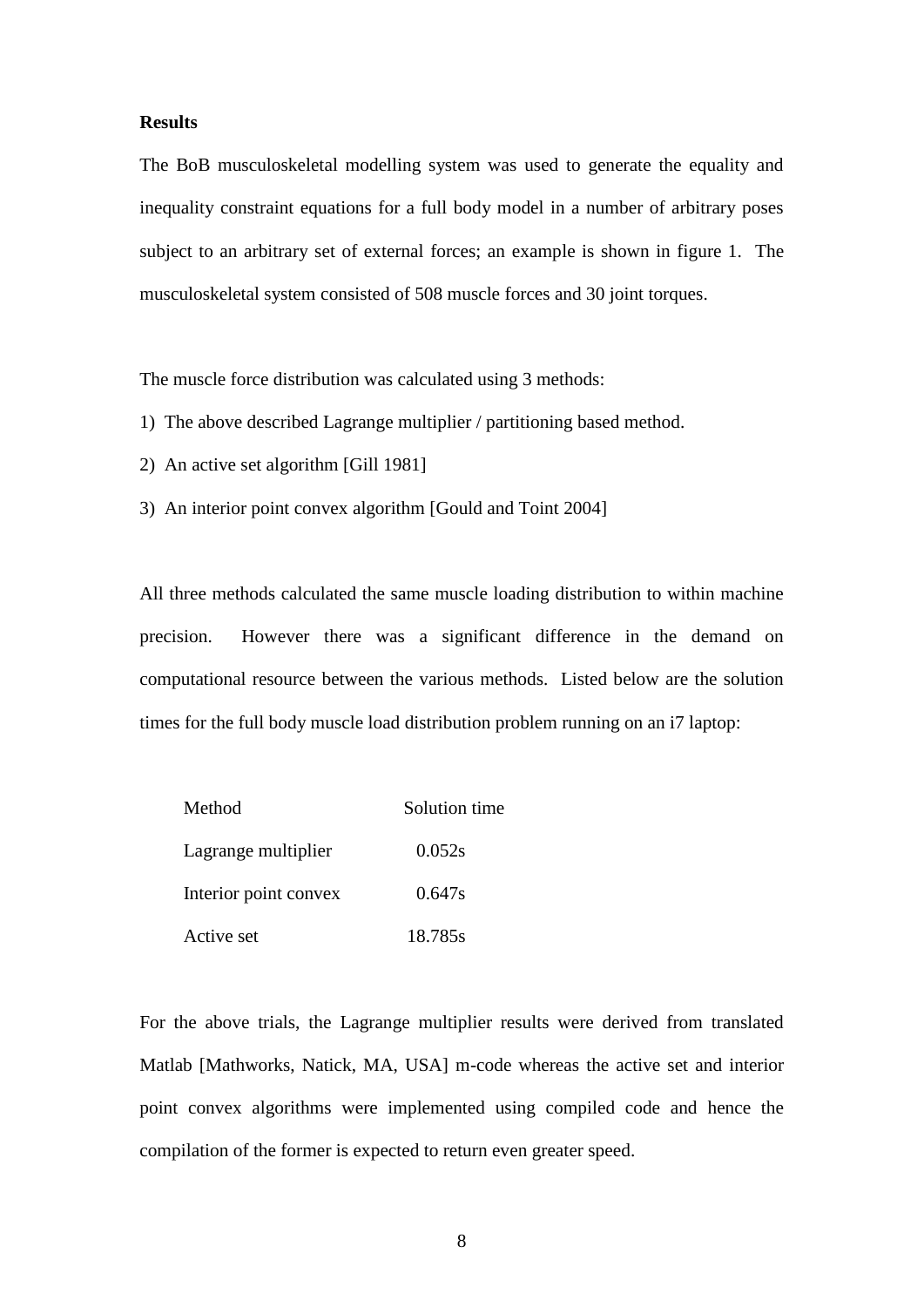#### **Results**

The BoB musculoskeletal modelling system was used to generate the equality and inequality constraint equations for a full body model in a number of arbitrary poses subject to an arbitrary set of external forces; an example is shown in figure 1. The musculoskeletal system consisted of 508 muscle forces and 30 joint torques.

The muscle force distribution was calculated using 3 methods:

- 1) The above described Lagrange multiplier / partitioning based method.
- 2) An active set algorithm [Gill 1981]
- 3) An interior point convex algorithm [Gould and Toint 2004]

All three methods calculated the same muscle loading distribution to within machine precision. However there was a significant difference in the demand on computational resource between the various methods. Listed below are the solution times for the full body muscle load distribution problem running on an i7 laptop:

| Method                | Solution time |
|-----------------------|---------------|
| Lagrange multiplier   | 0.052s        |
| Interior point convex | 0.647s        |
| Active set            | 18.785s       |

For the above trials, the Lagrange multiplier results were derived from translated Matlab [Mathworks, Natick, MA, USA] m-code whereas the active set and interior point convex algorithms were implemented using compiled code and hence the compilation of the former is expected to return even greater speed.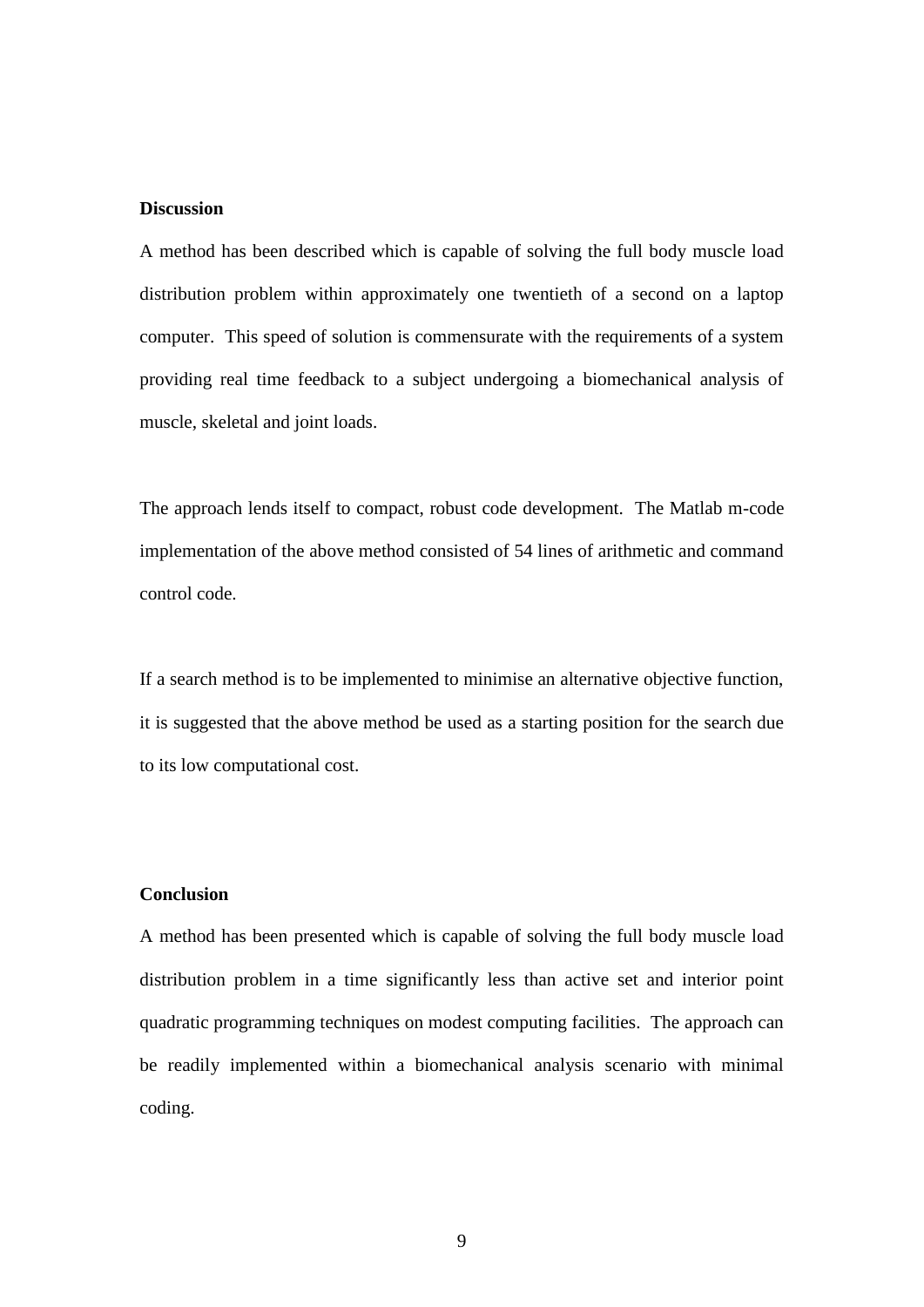#### **Discussion**

A method has been described which is capable of solving the full body muscle load distribution problem within approximately one twentieth of a second on a laptop computer. This speed of solution is commensurate with the requirements of a system providing real time feedback to a subject undergoing a biomechanical analysis of muscle, skeletal and joint loads.

The approach lends itself to compact, robust code development. The Matlab m-code implementation of the above method consisted of 54 lines of arithmetic and command control code.

If a search method is to be implemented to minimise an alternative objective function, it is suggested that the above method be used as a starting position for the search due to its low computational cost.

## **Conclusion**

A method has been presented which is capable of solving the full body muscle load distribution problem in a time significantly less than active set and interior point quadratic programming techniques on modest computing facilities. The approach can be readily implemented within a biomechanical analysis scenario with minimal coding.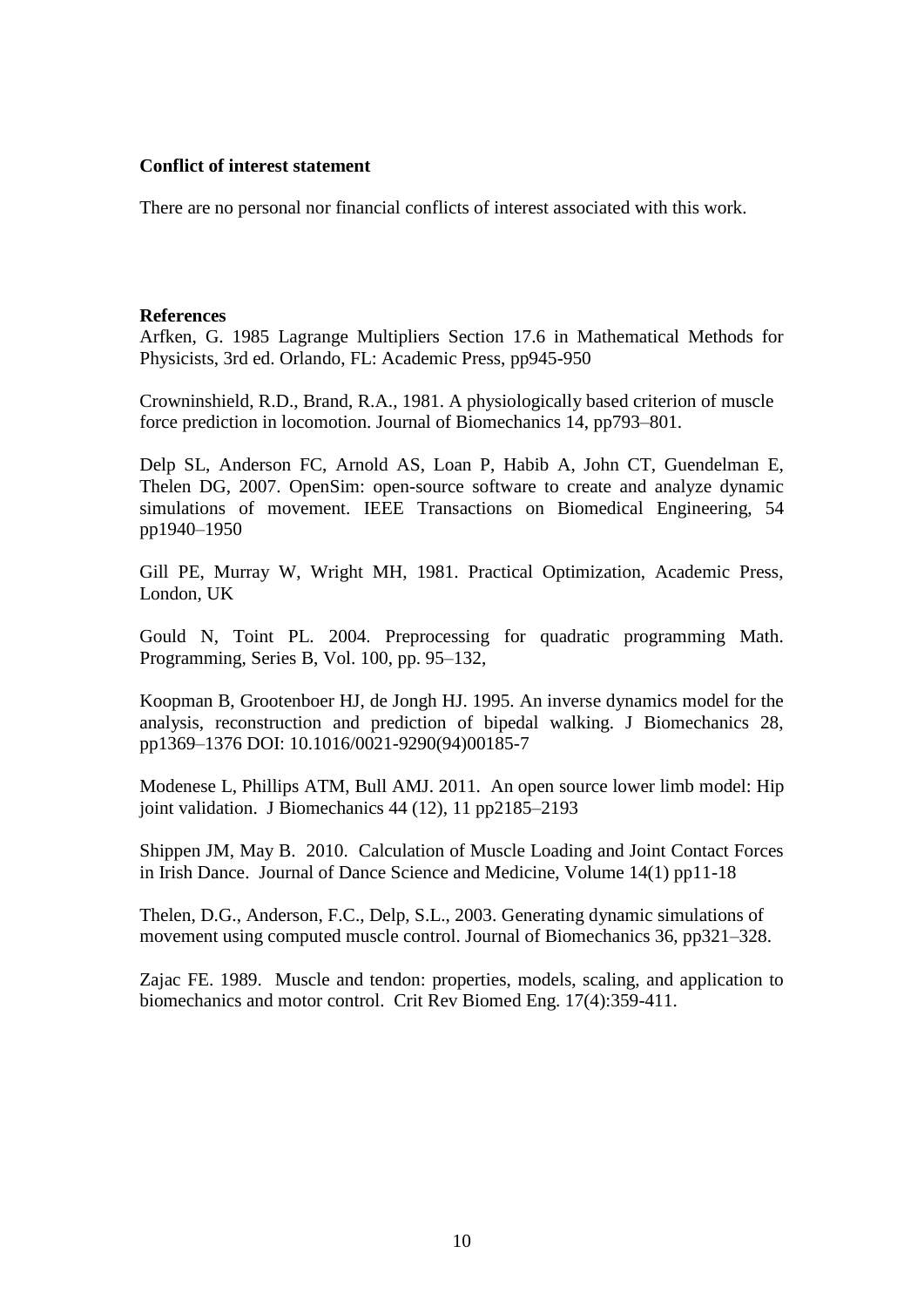#### **Conflict of interest statement**

There are no personal nor financial conflicts of interest associated with this work.

#### **References**

Arfken, G. 1985 Lagrange Multipliers Section 17.6 in Mathematical Methods for Physicists, 3rd ed. Orlando, FL: Academic Press, pp945-950

Crowninshield, R.D., Brand, R.A., 1981. A physiologically based criterion of muscle force prediction in locomotion. Journal of Biomechanics 14, pp793–801.

Delp SL, Anderson FC, Arnold AS, Loan P, Habib A, John CT, Guendelman E, Thelen DG, 2007. OpenSim: open-source software to create and analyze dynamic simulations of movement. IEEE Transactions on Biomedical Engineering, 54 pp1940–1950

Gill PE, Murray W, Wright MH, 1981. Practical Optimization, Academic Press, London, UK

Gould N, Toint PL. 2004. Preprocessing for quadratic programming Math. Programming, Series B, Vol. 100, pp. 95–132,

Koopman B, Grootenboer HJ, de Jongh HJ. 1995. An inverse dynamics model for the analysis, reconstruction and prediction of bipedal walking. J Biomechanics 28, pp1369–1376 DOI: 10.1016/0021-9290(94)00185-7

Modenese L, Phillips ATM, Bull AMJ. 2011. An open source lower limb model: Hip joint validation. J Biomechanics 44 (12), 11 pp2185–2193

Shippen JM, May B. 2010. Calculation of Muscle Loading and Joint Contact Forces in Irish Dance. Journal of Dance Science and Medicine, Volume 14(1) pp11-18

Thelen, D.G., Anderson, F.C., Delp, S.L., 2003. Generating dynamic simulations of movement using computed muscle control. Journal of Biomechanics 36, pp321–328.

Zajac FE. 1989. Muscle and tendon: properties, models, scaling, and application to biomechanics and motor control. Crit Rev Biomed Eng. 17(4):359-411.